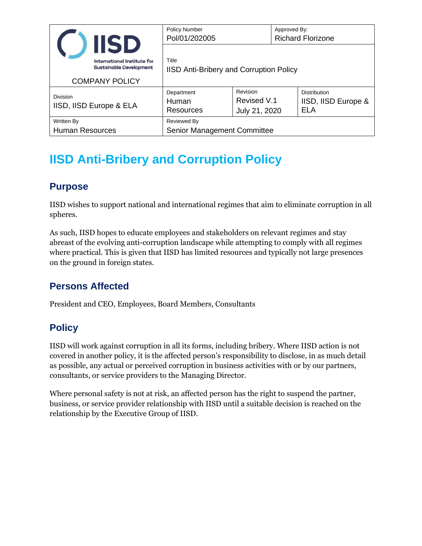|                                            | <b>IISD</b>                                                                            | <b>Policy Number</b><br>Pol/01/202005            |                                          | Approved By:<br><b>Richard Florizone</b> |                                                          |
|--------------------------------------------|----------------------------------------------------------------------------------------|--------------------------------------------------|------------------------------------------|------------------------------------------|----------------------------------------------------------|
|                                            | International Institute for<br><b>Sustainable Development</b><br><b>COMPANY POLICY</b> | Title<br>IISD Anti-Bribery and Corruption Policy |                                          |                                          |                                                          |
| <b>Division</b><br>IISD, IISD Europe & ELA |                                                                                        | Department<br>Human<br>Resources                 | Revision<br>Revised V.1<br>July 21, 2020 |                                          | <b>Distribution</b><br>IISD, IISD Europe &<br><b>ELA</b> |
| Written By<br><b>Human Resources</b>       |                                                                                        | Reviewed By<br>Senior Management Committee       |                                          |                                          |                                                          |

# **IISD Anti-Bribery and Corruption Policy**

#### **Purpose**

IISD wishes to support national and international regimes that aim to eliminate corruption in all spheres.

As such, IISD hopes to educate employees and stakeholders on relevant regimes and stay abreast of the evolving anti-corruption landscape while attempting to comply with all regimes where practical. This is given that IISD has limited resources and typically not large presences on the ground in foreign states.

#### **Persons Affected**

President and CEO, Employees, Board Members, Consultants

#### **Policy**

IISD will work against corruption in all its forms, including bribery. Where IISD action is not covered in another policy, it is the affected person's responsibility to disclose, in as much detail as possible, any actual or perceived corruption in business activities with or by our partners, consultants, or service providers to the Managing Director.

Where personal safety is not at risk, an affected person has the right to suspend the partner, business, or service provider relationship with IISD until a suitable decision is reached on the relationship by the Executive Group of IISD.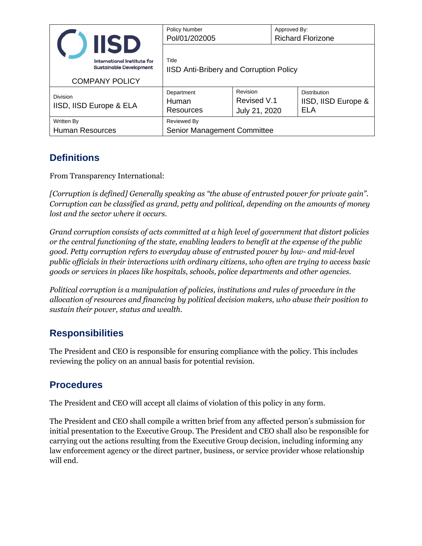|                                            | <b>IISD</b>                                                                            | <b>Policy Number</b><br>Pol/01/202005            |                                          | Approved By:<br><b>Richard Florizone</b> |                                            |  |
|--------------------------------------------|----------------------------------------------------------------------------------------|--------------------------------------------------|------------------------------------------|------------------------------------------|--------------------------------------------|--|
|                                            | International Institute for<br><b>Sustainable Development</b><br><b>COMPANY POLICY</b> | Title<br>IISD Anti-Bribery and Corruption Policy |                                          |                                          |                                            |  |
| <b>Division</b><br>IISD, IISD Europe & ELA |                                                                                        | Department<br>Human<br><b>Resources</b>          | Revision<br>Revised V.1<br>July 21, 2020 |                                          | Distribution<br>IISD, IISD Europe &<br>ELA |  |
| Written By<br><b>Human Resources</b>       |                                                                                        | Reviewed By<br>Senior Management Committee       |                                          |                                          |                                            |  |

#### **Definitions**

From Transparency International:

*[Corruption is defined] Generally speaking as "the abuse of entrusted power for private gain". Corruption can be classified as grand, petty and political, depending on the amounts of money lost and the sector where it occurs.*

*Grand corruption consists of acts committed at a high level of government that distort policies or the central functioning of the state, enabling leaders to benefit at the expense of the public good. Petty corruption refers to everyday abuse of entrusted power by low- and mid-level public officials in their interactions with ordinary citizens, who often are trying to access basic goods or services in places like hospitals, schools, police departments and other agencies.*

*Political corruption is a manipulation of policies, institutions and rules of procedure in the allocation of resources and financing by political decision makers, who abuse their position to sustain their power, status and wealth.*

### **Responsibilities**

The President and CEO is responsible for ensuring compliance with the policy. This includes reviewing the policy on an annual basis for potential revision.

### **Procedures**

The President and CEO will accept all claims of violation of this policy in any form.

The President and CEO shall compile a written brief from any affected person's submission for initial presentation to the Executive Group. The President and CEO shall also be responsible for carrying out the actions resulting from the Executive Group decision, including informing any law enforcement agency or the direct partner, business, or service provider whose relationship will end.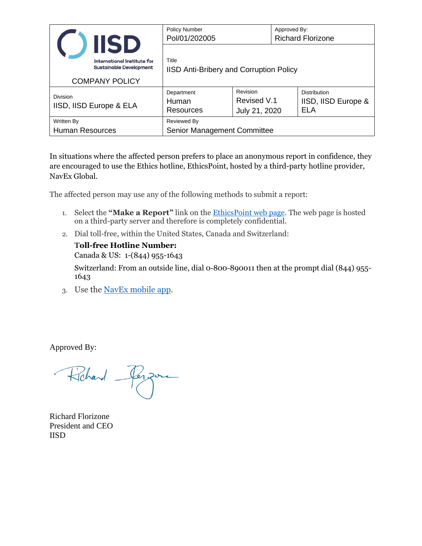|                                            | <b>IISD</b>                                                                            | <b>Policy Number</b><br>Pol/01/202005            |                                          | Approved By:<br><b>Richard Florizone</b> |                                                   |
|--------------------------------------------|----------------------------------------------------------------------------------------|--------------------------------------------------|------------------------------------------|------------------------------------------|---------------------------------------------------|
|                                            | International Institute for<br><b>Sustainable Development</b><br><b>COMPANY POLICY</b> | Title<br>IISD Anti-Bribery and Corruption Policy |                                          |                                          |                                                   |
| <b>Division</b><br>IISD, IISD Europe & ELA |                                                                                        | Department<br>Human<br>Resources                 | Revision<br>Revised V.1<br>July 21, 2020 |                                          | Distribution<br>IISD, IISD Europe &<br><b>ELA</b> |
| Written By<br>Human Resources              |                                                                                        | Reviewed By<br>Senior Management Committee       |                                          |                                          |                                                   |

In situations where the affected person prefers to place an anonymous report in confidence, they are encouraged to use the Ethics hotline, EthicsPoint, hosted by a third-party hotline provider, NavEx Global.

The affected person may use any of the following methods to submit a report:

- 1. Select the **"Make a Report"** link on the [EthicsPoint](http://iisd.ethicspoint.com/) web page. The web page is hosted on a third-party server and therefore is completely confidential.
- 2. Dial toll-free, within the United States, Canada and Switzerland:

**Toll-free Hotline Number:** 

Canada & US: 1-(844) 955-1643

Switzerland: From an outside line, dial 0-800-890011 then at the prompt dial (844) 955- 1643

3. Use the [NavEx mobile app.](http://iisdmobile.ethicspoint.com/)

Approved By:

Robard Person

Richard Florizone President and CEO IISD